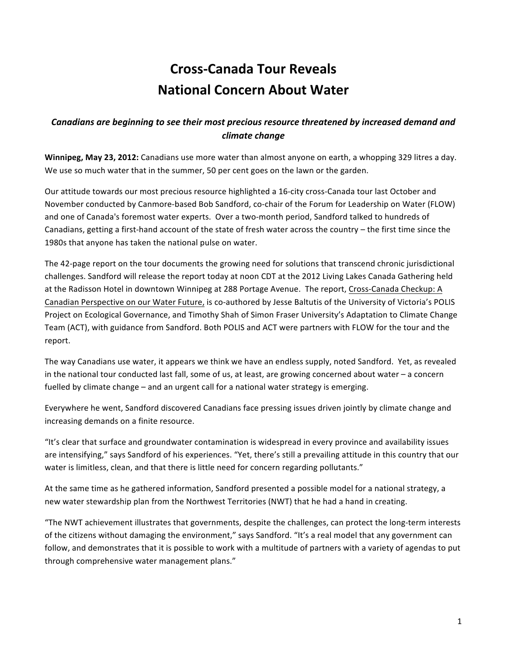# **Cross%Canada)Tour)Reveals) National Concern About Water**

## *Canadians'are'beginning'to'see'their'most'precious'resource'threatened'by'increased'demand'and' climate'change*

**Winnipeg, May 23, 2012:** Canadians use more water than almost anyone on earth, a whopping 329 litres a day. We use so much water that in the summer, 50 per cent goes on the lawn or the garden.

Our attitude towards our most precious resource highlighted a 16-city cross-Canada tour last October and November conducted by Canmore-based Bob Sandford, co-chair of the Forum for Leadership on Water (FLOW) and one of Canada's foremost water experts. Over a two-month period, Sandford talked to hundreds of Canadians, getting a first-hand account of the state of fresh water across the country – the first time since the 1980s that anyone has taken the national pulse on water.

The 42-page report on the tour documents the growing need for solutions that transcend chronic jurisdictional challenges. Sandford will release the report today at noon CDT at the 2012 Living Lakes Canada Gathering held at the Radisson Hotel in downtown Winnipeg at 288 Portage Avenue. The report, Cross-Canada Checkup: A Canadian Perspective on our Water Future, is co-authored by Jesse Baltutis of the University of Victoria's POLIS Project on Ecological Governance, and Timothy Shah of Simon Fraser University's Adaptation to Climate Change Team (ACT), with guidance from Sandford. Both POLIS and ACT were partners with FLOW for the tour and the report.

The way Canadians use water, it appears we think we have an endless supply, noted Sandford. Yet, as revealed in the national tour conducted last fall, some of us, at least, are growing concerned about water – a concern fuelled by climate change – and an urgent call for a national water strategy is emerging.

Everywhere he went, Sandford discovered Canadians face pressing issues driven jointly by climate change and increasing demands on a finite resource.

"It's clear that surface and groundwater contamination is widespread in every province and availability issues are intensifying," says Sandford of his experiences. "Yet, there's still a prevailing attitude in this country that our water is limitless, clean, and that there is little need for concern regarding pollutants."

At the same time as he gathered information, Sandford presented a possible model for a national strategy, a new water stewardship plan from the Northwest Territories (NWT) that he had a hand in creating.

"The NWT achievement illustrates that governments, despite the challenges, can protect the long-term interests of the citizens without damaging the environment," says Sandford. "It's a real model that any government can follow, and demonstrates that it is possible to work with a multitude of partners with a variety of agendas to put through comprehensive water management plans."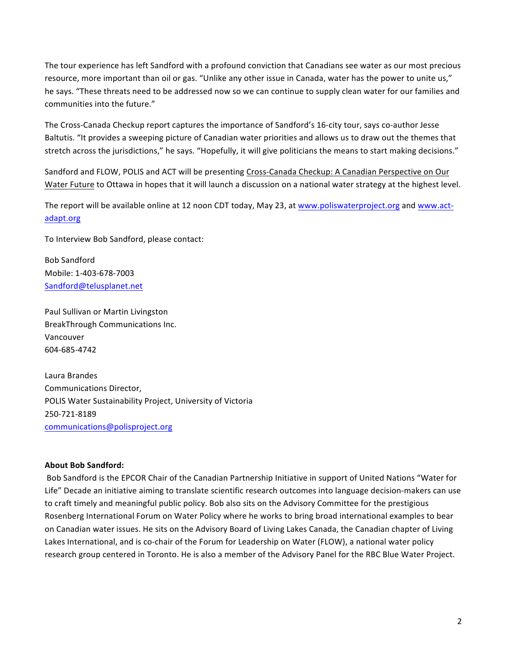The tour experience has left Sandford with a profound conviction that Canadians see water as our most precious resource, more important than oil or gas. "Unlike any other issue in Canada, water has the power to unite us," he says. "These threats need to be addressed now so we can continue to supply clean water for our families and communities into the future."

The Cross-Canada Checkup report captures the importance of Sandford's 16-city tour, says co-author Jesse Baltutis. "It provides a sweeping picture of Canadian water priorities and allows us to draw out the themes that stretch across the jurisdictions," he says. "Hopefully, it will give politicians the means to start making decisions."

Sandford and FLOW, POLIS and ACT will be presenting Cross-Canada Checkup: A Canadian Perspective on Our Water Future to Ottawa in hopes that it will launch a discussion on a national water strategy at the highest level.

The report will be available online at 12 noon CDT today, May 23, at www.poliswaterproject.org and www.actadapt.org

To Interview Bob Sandford, please contact:

Bob!Sandford Mobile: 1-403-678-7003 Sandford@telusplanet.net

Paul Sullivan or Martin Livingston BreakThrough Communications Inc. Vancouver 604-685-4742

Laura!Brandes Communications Director, POLIS Water Sustainability Project, University of Victoria 250-721-8189 communications@polisproject.org

### About Bob Sandford:

Bob Sandford is the EPCOR Chair of the Canadian Partnership Initiative in support of United Nations "Water for Life" Decade an initiative aiming to translate scientific research outcomes into language decision-makers can use to craft timely and meaningful public policy. Bob also sits on the Advisory Committee for the prestigious Rosenberg International Forum on Water Policy where he works to bring broad international examples to bear on Canadian water issues. He sits on the Advisory Board of Living Lakes Canada, the Canadian chapter of Living Lakes International, and is co-chair of the Forum for Leadership on Water (FLOW), a national water policy research group centered in Toronto. He is also a member of the Advisory Panel for the RBC Blue Water Project.